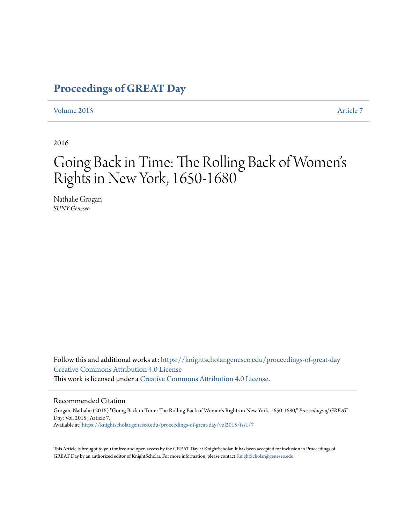## **[Proceedings of GREAT Day](https://knightscholar.geneseo.edu/proceedings-of-great-day?utm_source=knightscholar.geneseo.edu%2Fproceedings-of-great-day%2Fvol2015%2Fiss1%2F7&utm_medium=PDF&utm_campaign=PDFCoverPages)**

### [Volume 2015](https://knightscholar.geneseo.edu/proceedings-of-great-day/vol2015?utm_source=knightscholar.geneseo.edu%2Fproceedings-of-great-day%2Fvol2015%2Fiss1%2F7&utm_medium=PDF&utm_campaign=PDFCoverPages) **[Article 7](https://knightscholar.geneseo.edu/proceedings-of-great-day/vol2015/iss1/7?utm_source=knightscholar.geneseo.edu%2Fproceedings-of-great-day%2Fvol2015%2Fiss1%2F7&utm_medium=PDF&utm_campaign=PDFCoverPages)**

2016

### Going Back in Time: The Rolling Back of Women s ' Rights in New York, 1650-1680

Nathalie Grogan *SUNY Geneseo*

Follow this and additional works at: [https://knightscholar.geneseo.edu/proceedings-of-great-day](https://knightscholar.geneseo.edu/proceedings-of-great-day?utm_source=knightscholar.geneseo.edu%2Fproceedings-of-great-day%2Fvol2015%2Fiss1%2F7&utm_medium=PDF&utm_campaign=PDFCoverPages) [Creative Commons Attribution 4.0 License](http://creativecommons.org/licenses/by/4.0/) This work is licensed under a [Creative Commons Attribution 4.0 License.](http://creativecommons.org/licenses/by/4.0/)

#### Recommended Citation

Grogan, Nathalie (2016) "Going Back in Time: The Rolling Back of Women's Rights in New York, 1650-1680," *Proceedings of GREAT Day*: Vol. 2015 , Article 7. Available at: [https://knightscholar.geneseo.edu/proceedings-of-great-day/vol2015/iss1/7](https://knightscholar.geneseo.edu/proceedings-of-great-day/vol2015/iss1/7?utm_source=knightscholar.geneseo.edu%2Fproceedings-of-great-day%2Fvol2015%2Fiss1%2F7&utm_medium=PDF&utm_campaign=PDFCoverPages)

This Article is brought to you for free and open access by the GREAT Day at KnightScholar. It has been accepted for inclusion in Proceedings of GREAT Day by an authorized editor of KnightScholar. For more information, please contact [KnightScholar@geneseo.edu.](mailto:KnightScholar@geneseo.edu)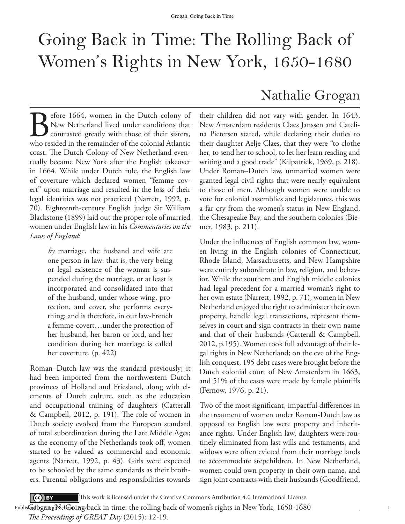# Going Back in Time: The Rolling Back of Women's Rights in New York, 1650-1680

Before 1664, women in the Dutch colony of<br>New Netherland lived under conditions that<br>contrasted greatly with those of their sisters,<br>who resided in the remainder of the colonial Atlantic New Netherland lived under conditions that contrasted greatly with those of their sisters, who resided in the remainder of the colonial Atlantic coast. The Dutch Colony of New Netherland eventually became New York after the English takeover in 1664. While under Dutch rule, the English law of coverture which declared women "femme covert" upon marriage and resulted in the loss of their legal identities was not practiced (Narrett, 1992, p. 70). Eighteenth-century English judge Sir William Blackstone (1899) laid out the proper role of married women under English law in his *Commentaries on the Laws of England*:

> *by* marriage, the husband and wife are one person in law: that is, the very being or legal existence of the woman is suspended during the marriage, or at least is incorporated and consolidated into that of the husband, under whose wing, protection, and cover, she performs everything; and is therefore, in our law-French a femme-covert…under the protection of her husband, her baron or lord, and her condition during her marriage is called her coverture. (p. 422)

Roman–Dutch law was the standard previously; it had been imported from the northwestern Dutch provinces of Holland and Friesland, along with elements of Dutch culture, such as the education and occupational training of daughters (Catterall & Campbell, 2012, p. 191). The role of women in Dutch society evolved from the European standard of total subordination during the Late Middle Ages; as the economy of the Netherlands took off, women started to be valued as commercial and economic agents (Narrett, 1992, p. 43). Girls were expected to be schooled by the same standards as their brothers. Parental obligations and responsibilities towards

## Nathalie Grogan

their children did not vary with gender. In 1643, New Amsterdam residents Claes Janssen and Catelina Pietersen stated, while declaring their duties to their daughter Aelje Claes, that they were "to clothe her, to send her to school, to let her learn reading and writing and a good trade" (Kilpatrick, 1969, p. 218). Under Roman–Dutch law, unmarried women were granted legal civil rights that were nearly equivalent to those of men. Although women were unable to vote for colonial assemblies and legislatures, this was a far cry from the women's status in New England, the Chesapeake Bay, and the southern colonies (Biemer, 1983, p. 211).

Under the influences of English common law, women living in the English colonies of Connecticut, Rhode Island, Massachusetts, and New Hampshire were entirely subordinate in law, religion, and behavior. While the southern and English middle colonies had legal precedent for a married woman's right to her own estate (Narrett, 1992, p. 71), women in New Netherland enjoyed the right to administer their own property, handle legal transactions, represent themselves in court and sign contracts in their own name and that of their husbands (Catterall & Campbell, 2012, p.195). Women took full advantage of their legal rights in New Netherland; on the eve of the English conquest, 195 debt cases were brought before the Dutch colonial court of New Amsterdam in 1663, and 51% of the cases were made by female plaintiffs (Fernow, 1976, p. 21).

Two of the most significant, impactful differences in the treatment of women under Roman-Dutch law as opposed to English law were property and inheritance rights. Under English law, daughters were routinely eliminated from last wills and testaments, and widows were often evicted from their marriage lands to accommodate stepchildren. In New Netherland, women could own property in their own name, and sign joint contracts with their husbands (Goodfriend,

1

 $\left( \text{cc} \right)$  BY This work is licensed under the Creative Commons Attribution 4.0 International License.

. - "Publis**k@dogKnig!N\$cl@oing**&ack in time: the rolling back of women's rights in New York, 1650-1680

*The Proceedings of GREAT Day* (2015): 12-19.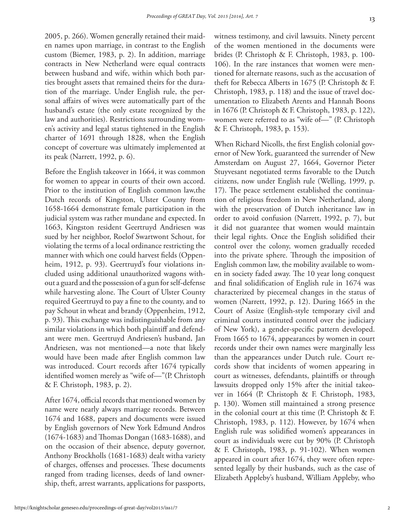2005, p. 266). Women generally retained their maiden names upon marriage, in contrast to the English custom (Biemer, 1983, p. 2). In addition, marriage contracts in New Netherland were equal contracts between husband and wife, within which both parties brought assets that remained theirs for the duration of the marriage. Under English rule, the personal affairs of wives were automatically part of the husband's estate (the only estate recognized by the law and authorities). Restrictions surrounding women's activity and legal status tightened in the English charter of 1691 through 1828, when the English concept of coverture was ultimately implemented at its peak (Narrett, 1992, p. 6).

Before the English takeover in 1664, it was common for women to appear in courts of their own accord. Prior to the institution of English common law,the Dutch records of Kingston, Ulster County from 1658-1664 demonstrate female participation in the judicial system was rather mundane and expected. In 1663, Kingston resident Geertruyd Andriesen was sued by her neighbor, Roelof Swartwont Schout, for violating the terms of a local ordinance restricting the manner with which one could harvest fields (Oppenheim, 1912, p. 93). Geertruyd's four violations included using additional unauthorized wagons without a guard and the possession of a gun for self-defense while harvesting alone. The Court of Ulster County required Geertruyd to pay a fine to the county, and to pay Schout in wheat and brandy (Oppenheim, 1912, p. 93). This exchange was indistinguishable from any similar violations in which both plaintiff and defendant were men. Geertruyd Andriesen's husband, Jan Andriesen, was not mentioned—a note that likely would have been made after English common law was introduced. Court records after 1674 typically identified women merely as "wife of—"(P. Christoph & F. Christoph, 1983, p. 2).

After 1674, official records that mentioned women by name were nearly always marriage records. Between 1674 and 1688, papers and documents were issued by English governors of New York Edmund Andros (1674-1683) and Thomas Dongan (1683-1688), and on the occasion of their absence, deputy governor, Anthony Brockholls (1681-1683) dealt witha variety of charges, offenses and processes. These documents ranged from trading licenses, deeds of land ownership, theft, arrest warrants, applications for passports,

witness testimony, and civil lawsuits. Ninety percent of the women mentioned in the documents were brides (P. Christoph & F. Christoph, 1983, p. 100- 106). In the rare instances that women were mentioned for alternate reasons, such as the accusation of theft for Rebecca Alberts in 1675 (P. Christoph & F. Christoph, 1983, p. 118) and the issue of travel documentation to Elizabeth Arents and Hannah Boons in 1676 (P. Christoph & F. Christoph, 1983, p. 122), women were referred to as "wife of—" (P. Christoph & F. Christoph, 1983, p. 153).

When Richard Nicolls, the first English colonial governor of New York, guaranteed the surrender of New Amsterdam on August 27, 1664, Governor Pieter Stuyvesant negotiated terms favorable to the Dutch citizens, now under English rule (Welling, 1999, p. 17). The peace settlement established the continuation of religious freedom in New Netherland, along with the preservation of Dutch inheritance law in order to avoid confusion (Narrett, 1992, p. 7), but it did not guarantee that women would maintain their legal rights. Once the English solidified their control over the colony, women gradually receded into the private sphere. Through the imposition of English common law, the mobility available to women in society faded away. The 10 year long conquest and final solidification of English rule in 1674 was characterized by piecemeal changes in the status of women (Narrett, 1992, p. 12). During 1665 in the Court of Assize (English-style temporary civil and criminal courts instituted control over the judiciary of New York), a gender-specific pattern developed. From 1665 to 1674, appearances by women in court records under their own names were marginally less than the appearances under Dutch rule. Court records show that incidents of women appearing in court as witnesses, defendants, plaintiffs or through lawsuits dropped only 15% after the initial takeover in 1664 (P. Christoph & F. Christoph, 1983, p. 130). Women still maintained a strong presence in the colonial court at this time (P. Christoph & F. Christoph, 1983, p. 112). However, by 1674 when English rule was solidified women's appearances in court as individuals were cut by 90% (P. Christoph & F. Christoph, 1983, p. 91-102). When women appeared in court after 1674, they were often represented legally by their husbands, such as the case of Elizabeth Appleby's husband, William Appleby, who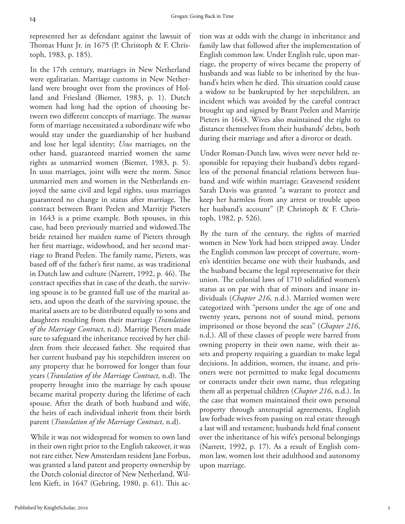represented her as defendant against the lawsuit of Thomas Hunt Jr. in 1675 (P. Christoph & F. Christoph, 1983, p. 185).

In the 17th century, marriages in New Netherland were egalitarian. Marriage customs in New Netherland were brought over from the provinces of Holland and Friesland (Biemer, 1983, p. 1). Dutch women had long had the option of choosing between two different concepts of marriage. The *manus*  form of marriage necessitated a subordinate wife who would stay under the guardianship of her husband and lose her legal identity; *Usus* marriages, on the other hand, guaranteed married women the same rights as unmarried women (Biemer, 1983, p. 5). In usus marriages, joint wills were the norm. Since unmarried men and women in the Netherlands enjoyed the same civil and legal rights, usus marriages guaranteed no change in status after marriage. The contract between Brant Peelen and Marritje Pieters in 1643 is a prime example. Both spouses, in this case, had been previously married and widowed.The bride retained her maiden name of Pieters through her first marriage, widowhood, and her second marriage to Brand Peelen. The family name, Pieters, was based off of the father's first name, as was traditional in Dutch law and culture (Narrett, 1992, p. 46). The contract specifies that in case of the death, the surviving spouse is to be granted full use of the marital assets, and upon the death of the surviving spouse, the marital assets are to be distributed equally to sons and daughters resulting from their marriage (*Translation of the Marriage Contract*, n.d). Marritje Pieters made sure to safeguard the inheritance received by her children from their deceased father. She required that her current husband pay his stepchildren interest on any property that he borrowed for longer than four years (*Translation of the Marriage Contract*, n.d). The property brought into the marriage by each spouse became marital property during the lifetime of each spouse. After the death of both husband and wife, the heirs of each individual inherit from their birth parent (*Translation of the Marriage Contract*, n.d).

While it was not widespread for women to own land in their own right prior to the English takeover, it was not rare either. New Amsterdam resident Jane Forbus, was granted a land patent and property ownership by the Dutch colonial director of New Netherland, Willem Kieft, in 1647 (Gehring, 1980, p. 61). This ac-

tion was at odds with the change in inheritance and family law that followed after the implementation of English common law. Under English rule, upon marriage, the property of wives became the property of husbands and was liable to be inherited by the husband's heirs when he died. This situation could cause a widow to be bankrupted by her stepchildren, an incident which was avoided by the careful contract brought up and signed by Brant Peelen and Marritje Pieters in 1643. Wives also maintained the right to distance themselves from their husbands' debts, both during their marriage and after a divorce or death.

Under Roman-Dutch law, wives were never held responsible for repaying their husband's debts regardless of the personal financial relations between husband and wife within marriage; Gravesend resident Sarah Davis was granted "a warrant to protect and keep her harmless from any arrest or trouble upon her husband's account" (P. Christoph & F. Christoph, 1982, p. 526).

By the turn of the century, the rights of married women in New York had been stripped away. Under the English common law precept of coverture, women's identities became one with their husbands, and the husband became the legal representative for their union. The colonial laws of 1710 solidified women's status as on par with that of minors and insane individuals (*Chapter 216*, n.d.). Married women were categorized with "persons under the age of one and twenty years, persons not of sound mind, persons imprisoned or those beyond the seas" (*Chapter 216*, n.d.). All of these classes of people were barred from owning property in their own name, with their assets and property requiring a guardian to make legal decisions. In addition, women, the insane, and prisoners were not permitted to make legal documents or contracts under their own name, thus relegating them all as perpetual children (*Chapter 216*, n.d.). In the case that women maintained their own personal property through antenuptial agreements, English law forbade wives from passing on real estate through a last will and testament; husbands held final consent over the inheritance of his wife's personal belongings (Narrett, 1992, p. 17). As a result of English common law, women lost their adulthood and autonomy upon marriage.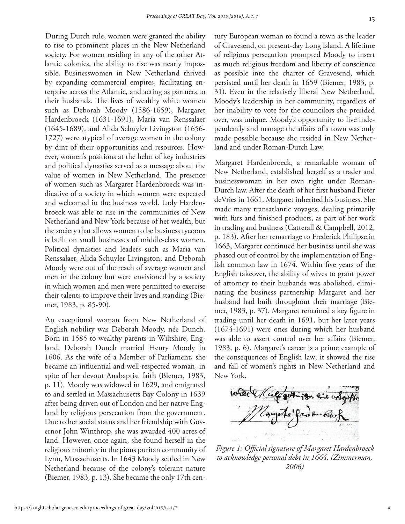During Dutch rule, women were granted the ability to rise to prominent places in the New Netherland society. For women residing in any of the other Atlantic colonies, the ability to rise was nearly impossible. Businesswomen in New Netherland thrived by expanding commercial empires, facilitating enterprise across the Atlantic, and acting as partners to their husbands. The lives of wealthy white women such as Deborah Moody (1586-1659), Margaret Hardenbroeck (1631-1691), Maria van Renssalaer (1645-1689), and Alida Schuyler Livingston (1656- 1727) were atypical of average women in the colony by dint of their opportunities and resources. However, women's positions at the helm of key industries and political dynasties served as a message about the value of women in New Netherland. The presence of women such as Margaret Hardenbroeck was indicative of a society in which women were expected and welcomed in the business world. Lady Hardenbroeck was able to rise in the communities of New Netherland and New York because of her wealth, but the society that allows women to be business tycoons is built on small businesses of middle-class women. Political dynasties and leaders such as Maria van Renssalaer, Alida Schuyler Livingston, and Deborah Moody were out of the reach of average women and men in the colony but were envisioned by a society in which women and men were permitted to exercise their talents to improve their lives and standing (Biemer, 1983, p. 85-90).

An exceptional woman from New Netherland of English nobility was Deborah Moody, née Dunch. Born in 1585 to wealthy parents in Wiltshire, England, Deborah Dunch married Henry Moody in 1606. As the wife of a Member of Parliament, she became an influential and well-respected woman, in spite of her devout Anabaptist faith (Biemer, 1983, p. 11). Moody was widowed in 1629, and emigrated to and settled in Massachusetts Bay Colony in 1639 after being driven out of London and her native England by religious persecution from the government. Due to her social status and her friendship with Governor John Winthrop, she was awarded 400 acres of land. However, once again, she found herself in the religious minority in the pious puritan community of Lynn, Massachusetts. In 1643 Moody settled in New Netherland because of the colony's tolerant nature (Biemer, 1983, p. 13). She became the only 17th century European woman to found a town as the leader of Gravesend, on present-day Long Island. A lifetime of religious persecution prompted Moody to insert as much religious freedom and liberty of conscience as possible into the charter of Gravesend, which persisted until her death in 1659 (Biemer, 1983, p. 31). Even in the relatively liberal New Netherland, Moody's leadership in her community, regardless of her inability to vote for the councilors she presided over, was unique. Moody's opportunity to live independently and manage the affairs of a town was only made possible because she resided in New Netherland and under Roman-Dutch Law.

Margaret Hardenbroeck, a remarkable woman of New Netherland, established herself as a trader and businesswoman in her own right under Roman-Dutch law. After the death of her first husband Pieter deVries in 1661, Margaret inherited his business. She made many transatlantic voyages, dealing primarily with furs and finished products, as part of her work in trading and business (Catterall & Campbell, 2012, p. 183). After her remarriage to Frederick Philipse in 1663, Margaret continued her business until she was phased out of control by the implementation of English common law in 1674. Within five years of the English takeover, the ability of wives to grant power of attorney to their husbands was abolished, eliminating the business partnership Margaret and her husband had built throughout their marriage (Biemer, 1983, p. 37). Margaret remained a key figure in trading until her death in 1691, but her later years (1674-1691) were ones during which her husband was able to assert control over her affairs (Biemer, 1983, p. 6). Margaret's career is a prime example of the consequences of English law; it showed the rise and fall of women's rights in New Netherland and New York.

whole / Calcontingen Rid ordgiffe Egypta fanden biosh

*Figure 1: Official signature of Margaret Hardenbroeck to acknowledge personal debt in 1664. (Zimmerman, 2006)*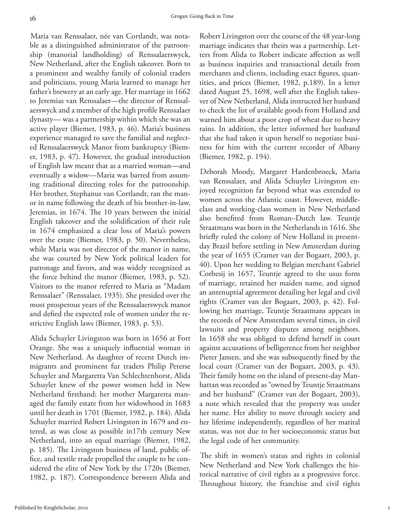Maria van Renssalaer, née van Cortlandt, was notable as a distinguished administrator of the patroonship (manorial landholding) of Renssalaerswyck, New Netherland, after the English takeover. Born to a prominent and wealthy family of colonial traders and politicians, young Maria learned to manage her father's brewery at an early age. Her marriage in 1662 to Jeremias van Renssalaer—the director of Renssalaerswyck and a member of the high profile Renssalaer dynasty— was a partnership within which she was an active player (Biemer, 1983, p. 46). Maria's business experience managed to save the familial and neglected Renssalaerswyck Manor from bankruptcy (Biemer, 1983, p. 47). However, the gradual introduction of English law meant that as a married woman—and eventually a widow—Maria was barred from assuming traditional directing roles for the patroonship. Her brother, Stephanus van Cortlandt, ran the manor in name following the death of his brother-in-law, Jeremias, in 1674. The 10 years between the initial English takeover and the solidification of their rule in 1674 emphasized a clear loss of Maria's powers over the estate (Biemer, 1983, p. 50). Nevertheless, while Maria was not director of the manor in name, she was courted by New York political leaders for patronage and favors, and was widely recognized as the force behind the manor (Biemer, 1983, p. 52). Visitors to the manor referred to Maria as "Madam Renssalaer" (Renssalaer, 1935). She presided over the most prosperous years of the Renssalaerswyck manor and defied the expected role of women under the restrictive English laws (Biemer, 1983, p. 53).

Alida Schuyler Livingston was born in 1656 at Fort Orange. She was a uniquely influential woman in New Netherland. As daughter of recent Dutch immigrants and prominent fur traders Philip Peterse Schuyler and Margaretta Van Schlechtenhorst, Alida Schuyler knew of the power women held in New Netherland firsthand; her mother Margaretta managed the family estate from her widowhood in 1683 until her death in 1701 (Biemer, 1982, p. 184). Alida Schuyler married Robert Livingston in 1679 and entered, as was close as possible in17th century New Netherland, into an equal marriage (Biemer, 1982, p. 185). The Livingston business of land, public office, and textile trade propelled the couple to be considered the elite of New York by the 1720s (Biemer, 1982, p. 187). Correspondence between Alida and

Robert Livingston over the course of the 48 year-long marriage indicates that theirs was a partnership. Letters from Alida to Robert indicate affection as well as business inquiries and transactional details from merchants and clients, including exact figures, quantities, and prices (Biemer, 1982, p.189). In a letter dated August 25, 1698, well after the English takeover of New Netherland, Alida instructed her husband to check the list of available goods from Holland and warned him about a poor crop of wheat due to heavy rains. In addition, the letter informed her husband that she had taken it upon herself to negotiate business for him with the current recorder of Albany (Biemer, 1982, p. 194).

Deborah Moody, Margaret Hardenbroeck, Maria van Renssalaer, and Alida Schuyler Livingston enjoyed recognition far beyond what was extended to women across the Atlantic coast. However, middleclass and working-class women in New Netherland also benefited from Roman–Dutch law. Teuntje Straatmans was born in the Netherlands in 1616. She briefly ruled the colony of New Holland in presentday Brazil before settling in New Amsterdam during the year of 1655 (Cramer van der Bogaart, 2003, p. 40). Upon her wedding to Belgian merchant Gabriel Corbesij in 1657, Teuntje agreed to the usus form of marriage, retained her maiden name, and signed an antenuptial agreement detailing her legal and civil rights (Cramer van der Bogaart, 2003, p. 42). Following her marriage, Teuntje Straatmans appears in the records of New Amsterdam several times, in civil lawsuits and property disputes among neighbors. In 1658 she was obliged to defend herself in court against accusations of belligerence from her neighbor Pieter Jansen, and she was subsequently fined by the local court (Cramer van der Bogaart, 2003, p. 43). Their family home on the island of present-day Manhattan was recorded as "owned by Teuntje Straatmans and her husband" (Cramer van der Bogaart, 2003), a note which revealed that the property was under her name. Her ability to move through society and her lifetime independently, regardless of her marital status, was not due to her socioeconomic status but the legal code of her community.

The shift in women's status and rights in colonial New Netherland and New York challenges the historical narrative of civil rights as a progressive force. Throughout history, the franchise and civil rights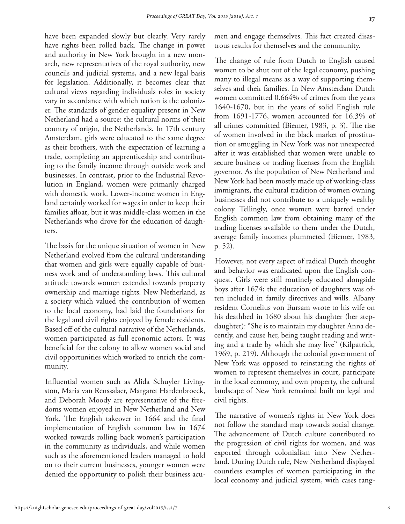have been expanded slowly but clearly. Very rarely have rights been rolled back. The change in power and authority in New York brought in a new monarch, new representatives of the royal authority, new councils and judicial systems, and a new legal basis for legislation. Additionally, it becomes clear that cultural views regarding individuals roles in society vary in accordance with which nation is the colonizer. The standards of gender equality present in New Netherland had a source: the cultural norms of their country of origin, the Netherlands. In 17th century Amsterdam, girls were educated to the same degree as their brothers, with the expectation of learning a trade, completing an apprenticeship and contributing to the family income through outside work and businesses. In contrast, prior to the Industrial Revolution in England, women were primarily charged with domestic work. Lower-income women in England certainly worked for wages in order to keep their families afloat, but it was middle-class women in the Netherlands who drove for the education of daughters.

The basis for the unique situation of women in New Netherland evolved from the cultural understanding that women and girls were equally capable of business work and of understanding laws. This cultural attitude towards women extended towards property ownership and marriage rights. New Netherland, as a society which valued the contribution of women to the local economy, had laid the foundations for the legal and civil rights enjoyed by female residents. Based off of the cultural narrative of the Netherlands, women participated as full economic actors. It was beneficial for the colony to allow women social and civil opportunities which worked to enrich the community.

Influential women such as Alida Schuyler Livingston, Maria van Renssalaer, Margaret Hardenbroeck, and Deborah Moody are representative of the freedoms women enjoyed in New Netherland and New York. The English takeover in 1664 and the final implementation of English common law in 1674 worked towards rolling back women's participation in the community as individuals, and while women such as the aforementioned leaders managed to hold on to their current businesses, younger women were denied the opportunity to polish their business acumen and engage themselves. This fact created disastrous results for themselves and the community.

The change of rule from Dutch to English caused women to be shut out of the legal economy, pushing many to illegal means as a way of supporting themselves and their families. In New Amsterdam Dutch women committed 0.664% of crimes from the years 1640-1670, but in the years of solid English rule from 1691-1776, women accounted for 16.3% of all crimes committed (Biemer, 1983, p. 3). The rise of women involved in the black market of prostitution or smuggling in New York was not unexpected after it was established that women were unable to secure business or trading licenses from the English governor. As the population of New Netherland and New York had been mostly made up of working-class immigrants, the cultural tradition of women owning businesses did not contribute to a uniquely wealthy colony. Tellingly, once women were barred under English common law from obtaining many of the trading licenses available to them under the Dutch, average family incomes plummeted (Biemer, 1983, p. 52).

However, not every aspect of radical Dutch thought and behavior was eradicated upon the English conquest. Girls were still routinely educated alongside boys after 1674; the education of daughters was often included in family directives and wills. Albany resident Cornelius von Bursam wrote to his wife on his deathbed in 1680 about his daughter (her stepdaughter): "She is to maintain my daughter Anna decently, and cause her, being taught reading and writing and a trade by which she may live" (Kilpatrick, 1969, p. 219). Although the colonial government of New York was opposed to reinstating the rights of women to represent themselves in court, participate in the local economy, and own property, the cultural landscape of New York remained built on legal and civil rights.

The narrative of women's rights in New York does not follow the standard map towards social change. The advancement of Dutch culture contributed to the progression of civil rights for women, and was exported through colonialism into New Netherland. During Dutch rule, New Netherland displayed countless examples of women participating in the local economy and judicial system, with cases rang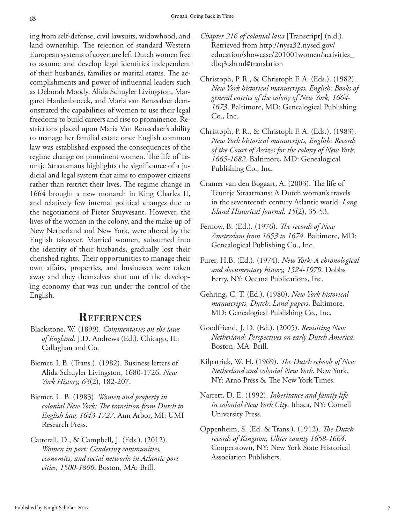ing from self-defense, civil lawsuits, widowhood, and land ownership. The rejection of standard Western European systems of coverture left Dutch women free to assume and develop legal identities independent of their husbands, families or marital status. The accomplishments and power of influential leaders such as Deborah Moody, Alida Schuyler Livingston, Margaret Hardenbroeck, and Maria van Renssalaer demonstrated the capabilities of women to use their legal freedoms to build careers and rise to prominence. Restrictions placed upon Maria Van Renssalaer's ability to manage her familial estate once English common law was established exposed the consequences of the regime change on prominent women. The life of Teuntje Straatsmans highlights the significance of a judicial and legal system that aims to empower citizens rather than restrict their lives. The regime change in 1664 brought a new monarch in King Charles II, and relatively few internal political changes due to the negotiations of Pieter Stuyvesant. However, the lives of the women in the colony, and the make-up of New Netherland and New York, were altered by the English takeover. Married women, subsumed into the identity of their husbands, gradually lost their cherished rights. Their opportunities to manage their own affairs, properties, and businesses were taken away and they themselves shut out of the developing economy that was run under the control of the English.

## **References**

- Blackstone, W. (1899). *Commentaries on the laws of England.* J.D. Andrews (Ed.). Chicago, IL: Callaghan and Co.
- Biemer, L.B. (Trans.). (1982). Business letters of Alida Schuyler Livingston, 1680-1726. *New York History, 63*(2), 182-207.
- Biemer, L. B. (1983). *Women and property in colonial New York: The transition from Dutch to English law, 1643-1727*. Ann Arbor, MI: UMI Research Press.
- Catterall, D., & Campbell, J. (Eds.). (2012). *Women in port: Gendering communities, economies, and social networks in Atlantic port cities, 1500-1800*. Boston, MA: Brill.
- *Chapter 216 of colonial laws* [Transcript] (n.d.). Retrieved from http://nysa32.nysed.gov/ education/showcase/201001women/activities\_ dbq3.shtml#translation
- Christoph, P. R., & Christoph F. A. (Eds.). (1982). *New York historical manuscripts, English: Books of general entries of the colony of New York, 1664- 1673*. Baltimore, MD: Genealogical Publishing Co., Inc.
- Christoph, P. R., & Christoph F. A. (Eds.). (1983). *New York historical manuscripts, English: Records of the Court of Assizes for the colony of New York, 1665-1682*. Baltimore, MD: Genealogical Publishing Co., Inc.
- Cramer van den Bogaart, A. (2003). The life of Teuntje Straatmans: A Dutch woman's travels in the seventeenth century Atlantic world. *Long Island Historical Journal, 15*(2), 35-53.
- Fernow, B. (Ed.). (1976). *The records of New Amsterdam from 1653 to 1674*. Baltimore, MD: Genealogical Publishing Co., Inc.
- Furer, H.B. (Ed.). (1974). *New York: A chronological and documentary history, 1524-1970*. Dobbs Ferry, NY: Oceana Publications, Inc.
- Gehring, C. T. (Ed.). (1980). *New York historical manuscripts, Dutch: Land papers*. Baltimore, MD: Genealogical Publishing Co., Inc.
- Goodfriend, J. D. (Ed.). (2005). *Revisiting New Netherland: Perspectives on early Dutch America*. Boston, MA: Brill.
- Kilpatrick, W. H. (1969). *The Dutch schools of New Netherland and colonial New York*. New York, NY: Arno Press & The New York Times.
- Narrett, D. E. (1992). *Inheritance and family life in colonial New York City*. Ithaca, NY: Cornell University Press.
- Oppenheim, S. (Ed. & Trans.). (1912). *The Dutch records of Kingston, Ulster county 1658-1664*. Cooperstown, NY: New York State Historical Association Publishers.